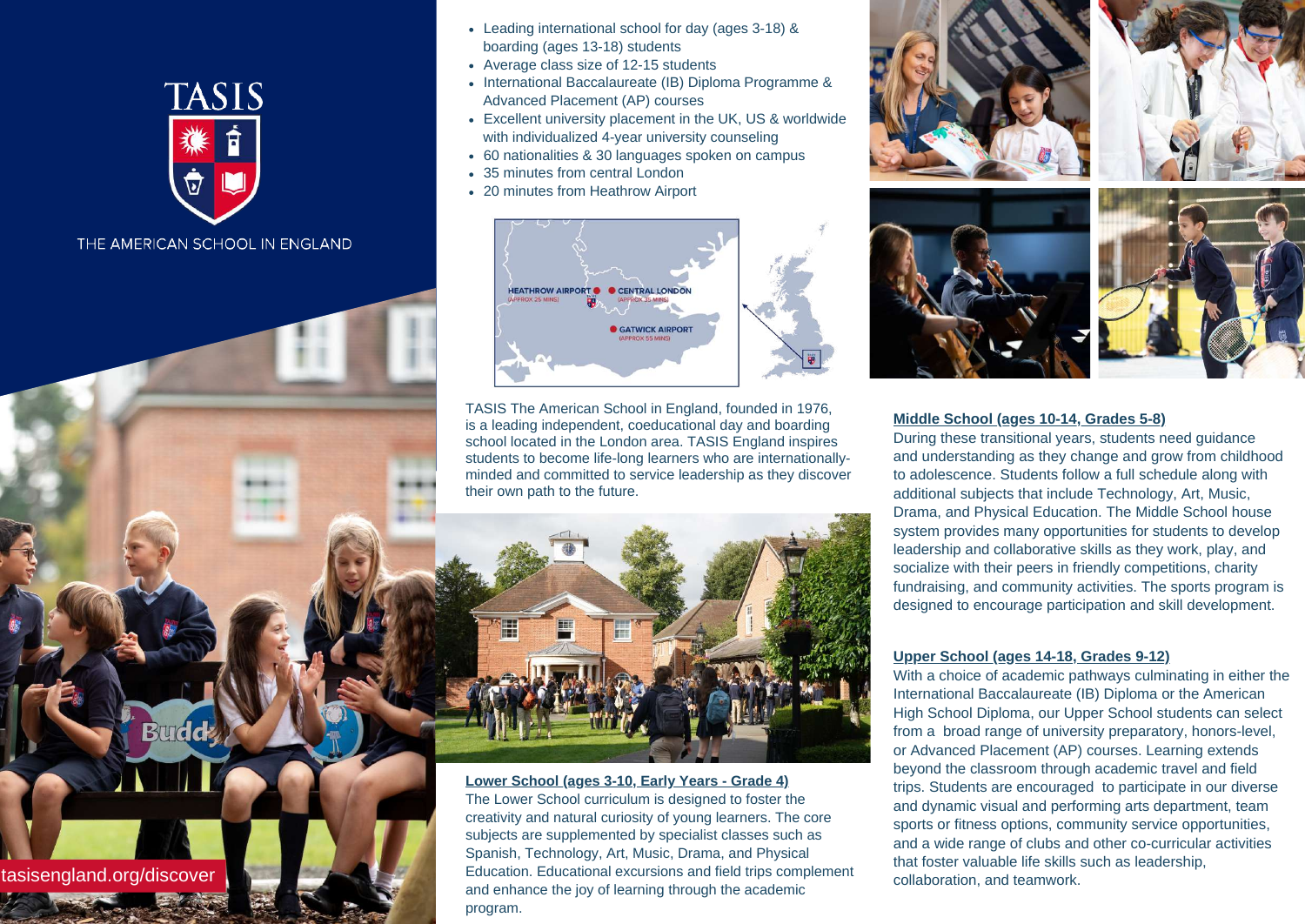

THE AMERICAN SCHOOL IN ENGLAND

tasisengland.org/discover

**Lower School (ages 3-10, Early Years - Grade 4)** The Lower School curriculum is designed to foster the creativity and natural curiosity of young learners. The core subjects are supplemented by specialist classes such as Spanish, Technology, Art, Music, Drama, and Physical Education. Educational excursions and field trips complement and enhance the joy of learning through the academic program.





- Average class size of 12-15 students
- International Baccalaureate (IB) Diploma Programme & Advanced Placement (AP) courses
- Excellent university placement in the UK, US & worldwide with individualized 4-year university counseling
- 60 nationalities & 30 languages spoken on campus
- 35 minutes from central London
- 20 minutes from Heathrow Airport



TASIS The American School in England, founded in 1976, is a leading independent, coeducational day and boarding school located in the London area. TASIS England inspires students to become life-long learners who are internationallyminded and committed to service leadership as they discover their own path to the future.



Leading international school for day (ages 3-18) & boarding (ages 13-18) students

### **Middle School (ages 10-14, Grades 5-8)**

During these transitional years, students need guidance and understanding as they change and grow from childhood to adolescence. Students follow a full schedule along with additional subjects that include Technology, Art, Music, Drama, and Physical Education. The Middle School house system provides many opportunities for students to develop leadership and collaborative skills as they work, play, and socialize with their peers in friendly competitions, charity fundraising, and community activities. The sports program is designed to encourage participation and skill development.

#### **Upper School (ages 14-18, Grades 9-12)**

With a choice of academic pathways culminating in either the International Baccalaureate (IB) Diploma or the American High School Diploma, our Upper School students can select from a broad range of university preparatory, honors-level, or Advanced Placement (AP) courses. Learning extends beyond the classroom through academic travel and field trips. Students are encouraged to participate in our diverse and dynamic visual and performing arts department, team sports or fitness options, community service opportunities, and a wide range of clubs and other co-curricular activities that foster valuable life skills such as leadership, collaboration, and teamwork.